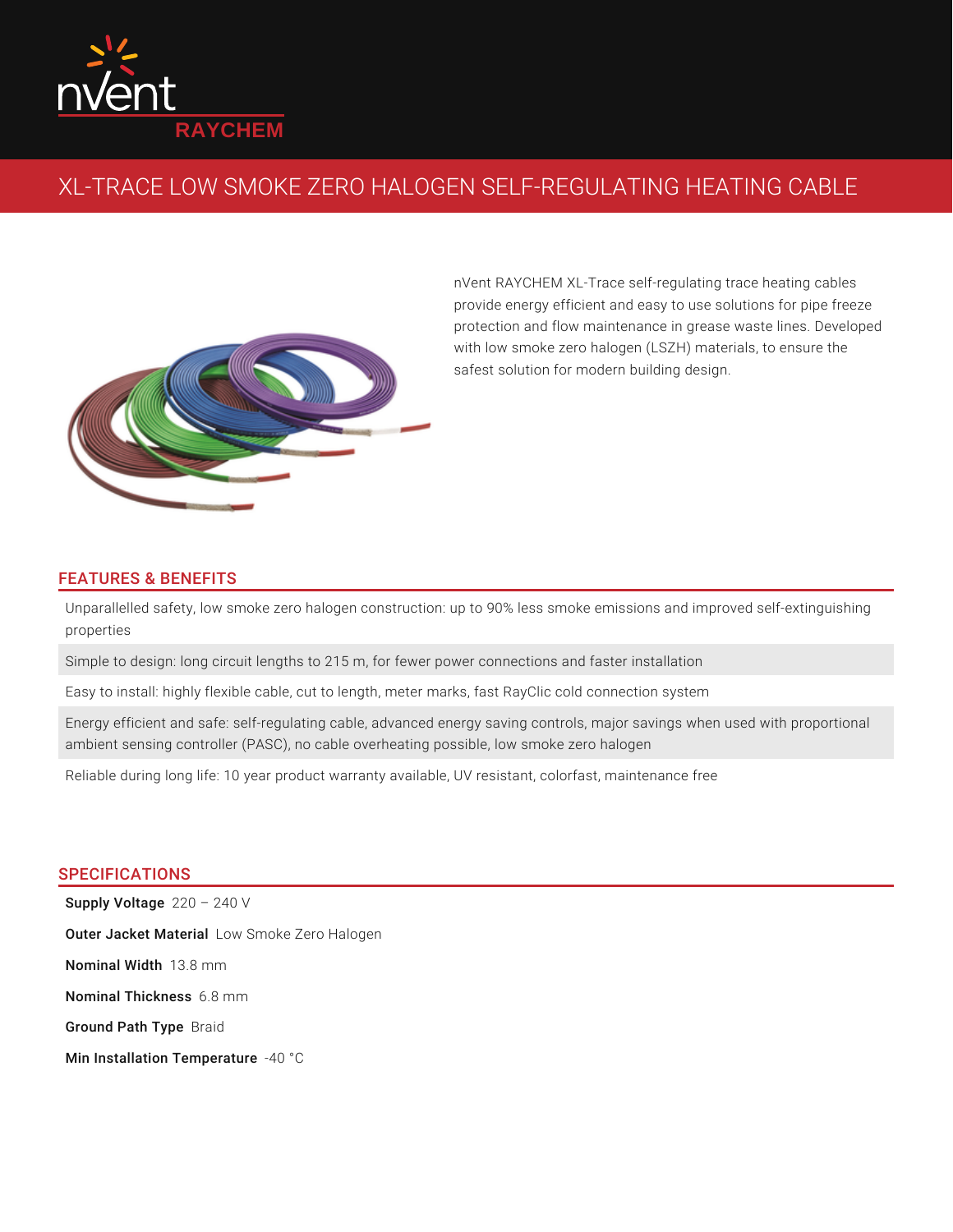

## XL-TRACE LOW SMOKE ZERO HALOGEN SELF-REGULATING HEATING CABLE



nVent RAYCHEM XL-Trace self-regulating trace heating cables provide energy efficient and easy to use solutions for pipe freeze protection and flow maintenance in grease waste lines. Developed with low smoke zero halogen (LSZH) materials, to ensure the safest solution for modern building design.

## FEATURES & BENEFITS

Unparallelled safety, low smoke zero halogen construction: up to 90% less smoke emissions and improved self-extinguishing properties

Simple to design: long circuit lengths to 215 m, for fewer power connections and faster installation

Easy to install: highly flexible cable, cut to length, meter marks, fast RayClic cold connection system

Energy efficient and safe: self-regulating cable, advanced energy saving controls, major savings when used with proportional ambient sensing controller (PASC), no cable overheating possible, low smoke zero halogen

Reliable during long life: 10 year product warranty available, UV resistant, colorfast, maintenance free

## SPECIFICATIONS

 ${\tt Supply \; Voltag}$ e 220 – 240 V Outer Jacket Material Low Smoke Zero Halogen **Nominal Width** 13.8 mm Nominal Thickness 6.8 mm Ground Path Type Braid Min Installation Temperature  $-40$  °C